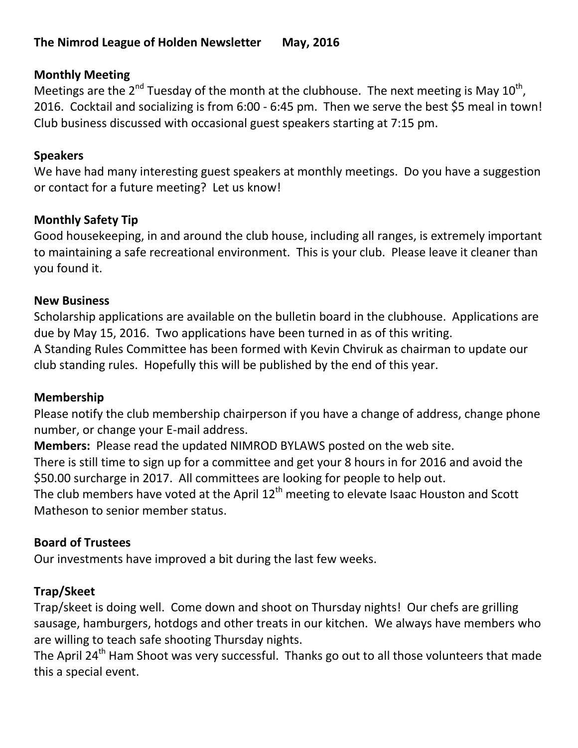### **Monthly Meeting**

Meetings are the 2<sup>nd</sup> Tuesday of the month at the clubhouse. The next meeting is May 10<sup>th</sup>, 2016. Cocktail and socializing is from 6:00 - 6:45 pm. Then we serve the best \$5 meal in town! Club business discussed with occasional guest speakers starting at 7:15 pm.

#### **Speakers**

We have had many interesting guest speakers at monthly meetings. Do you have a suggestion or contact for a future meeting? Let us know!

#### **Monthly Safety Tip**

Good housekeeping, in and around the club house, including all ranges, is extremely important to maintaining a safe recreational environment. This is your club. Please leave it cleaner than you found it.

#### **New Business**

Scholarship applications are available on the bulletin board in the clubhouse. Applications are due by May 15, 2016. Two applications have been turned in as of this writing. A Standing Rules Committee has been formed with Kevin Chviruk as chairman to update our club standing rules. Hopefully this will be published by the end of this year.

#### **Membership**

Please notify the club membership chairperson if you have a change of address, change phone number, or change your E-mail address.

**Members:** Please read the updated NIMROD BYLAWS posted on the web site.

There is still time to sign up for a committee and get your 8 hours in for 2016 and avoid the \$50.00 surcharge in 2017. All committees are looking for people to help out.

The club members have voted at the April  $12<sup>th</sup>$  meeting to elevate Isaac Houston and Scott Matheson to senior member status.

### **Board of Trustees**

Our investments have improved a bit during the last few weeks.

### **Trap/Skeet**

Trap/skeet is doing well. Come down and shoot on Thursday nights! Our chefs are grilling sausage, hamburgers, hotdogs and other treats in our kitchen. We always have members who are willing to teach safe shooting Thursday nights.

The April 24<sup>th</sup> Ham Shoot was very successful. Thanks go out to all those volunteers that made this a special event.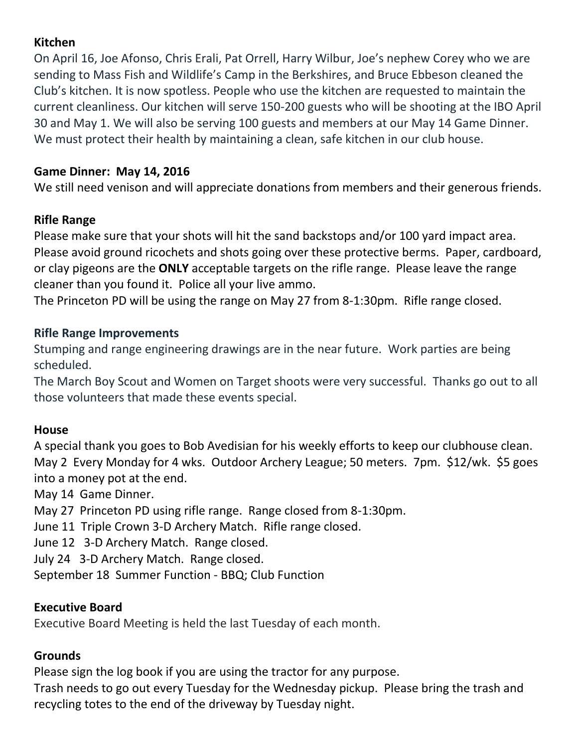### **Kitchen**

On April 16, Joe Afonso, Chris Erali, Pat Orrell, Harry Wilbur, Joe's nephew Corey who we are sending to Mass Fish and Wildlife's Camp in the Berkshires, and Bruce Ebbeson cleaned the Club's kitchen. It is now spotless. People who use the kitchen are requested to maintain the current cleanliness. Our kitchen will serve 150-200 guests who will be shooting at the IBO April 30 and May 1. We will also be serving 100 guests and members at our May 14 Game Dinner. We must protect their health by maintaining a clean, safe kitchen in our club house.

### **Game Dinner: May 14, 2016**

We still need venison and will appreciate donations from members and their generous friends.

### **Rifle Range**

Please make sure that your shots will hit the sand backstops and/or 100 yard impact area. Please avoid ground ricochets and shots going over these protective berms. Paper, cardboard, or clay pigeons are the **ONLY** acceptable targets on the rifle range. Please leave the range cleaner than you found it. Police all your live ammo.

The Princeton PD will be using the range on May 27 from 8-1:30pm. Rifle range closed.

### **Rifle Range Improvements**

Stumping and range engineering drawings are in the near future. Work parties are being scheduled.

The March Boy Scout and Women on Target shoots were very successful. Thanks go out to all those volunteers that made these events special.

# **House**

A special thank you goes to Bob Avedisian for his weekly efforts to keep our clubhouse clean. May 2 Every Monday for 4 wks. Outdoor Archery League; 50 meters. 7pm. \$12/wk. \$5 goes into a money pot at the end.

May 14 Game Dinner.

May 27 Princeton PD using rifle range. Range closed from 8-1:30pm.

June 11 Triple Crown 3-D Archery Match. Rifle range closed.

June 12 3-D Archery Match. Range closed.

July 24 3-D Archery Match. Range closed.

September 18 Summer Function - BBQ; Club Function

### **Executive Board**

Executive Board Meeting is held the last Tuesday of each month.

### **Grounds**

Please sign the log book if you are using the tractor for any purpose. Trash needs to go out every Tuesday for the Wednesday pickup. Please bring the trash and recycling totes to the end of the driveway by Tuesday night.